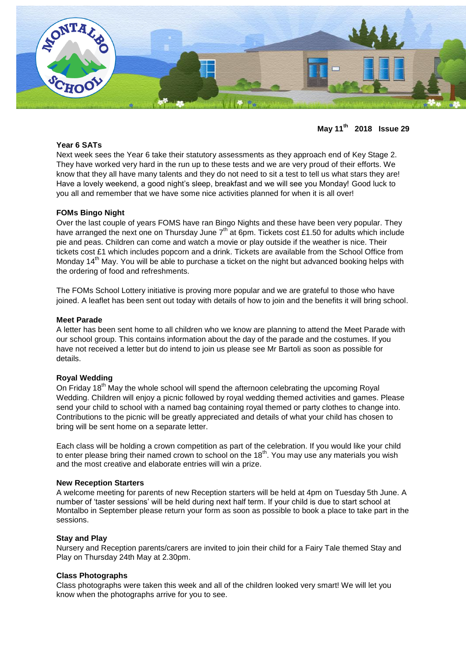

**May 11th 2018 Issue 29**

## **Year 6 SATs**

Next week sees the Year 6 take their statutory assessments as they approach end of Key Stage 2. They have worked very hard in the run up to these tests and we are very proud of their efforts. We know that they all have many talents and they do not need to sit a test to tell us what stars they are! Have a lovely weekend, a good night's sleep, breakfast and we will see you Monday! Good luck to you all and remember that we have some nice activities planned for when it is all over!

## **FOMs Bingo Night**

Over the last couple of years FOMS have ran Bingo Nights and these have been very popular. They have arranged the next one on Thursday June 7<sup>th</sup> at 6pm. Tickets cost £1.50 for adults which include pie and peas. Children can come and watch a movie or play outside if the weather is nice. Their tickets cost £1 which includes popcorn and a drink. Tickets are available from the School Office from Monday 14<sup>th</sup> May. You will be able to purchase a ticket on the night but advanced booking helps with the ordering of food and refreshments.

The FOMs School Lottery initiative is proving more popular and we are grateful to those who have joined. A leaflet has been sent out today with details of how to join and the benefits it will bring school.

#### **Meet Parade**

A letter has been sent home to all children who we know are planning to attend the Meet Parade with our school group. This contains information about the day of the parade and the costumes. If you have not received a letter but do intend to join us please see Mr Bartoli as soon as possible for details.

## **Royal Wedding**

On Friday 18<sup>th</sup> May the whole school will spend the afternoon celebrating the upcoming Royal Wedding. Children will enjoy a picnic followed by royal wedding themed activities and games. Please send your child to school with a named bag containing royal themed or party clothes to change into. Contributions to the picnic will be greatly appreciated and details of what your child has chosen to bring will be sent home on a separate letter.

Each class will be holding a crown competition as part of the celebration. If you would like your child to enter please bring their named crown to school on the  $18<sup>th</sup>$ . You may use any materials you wish and the most creative and elaborate entries will win a prize.

## **New Reception Starters**

A welcome meeting for parents of new Reception starters will be held at 4pm on Tuesday 5th June. A number of 'taster sessions' will be held during next half term. If your child is due to start school at Montalbo in September please return your form as soon as possible to book a place to take part in the sessions.

## **Stay and Play**

Nursery and Reception parents/carers are invited to join their child for a Fairy Tale themed Stay and Play on Thursday 24th May at 2.30pm.

#### **Class Photographs**

Class photographs were taken this week and all of the children looked very smart! We will let you know when the photographs arrive for you to see.